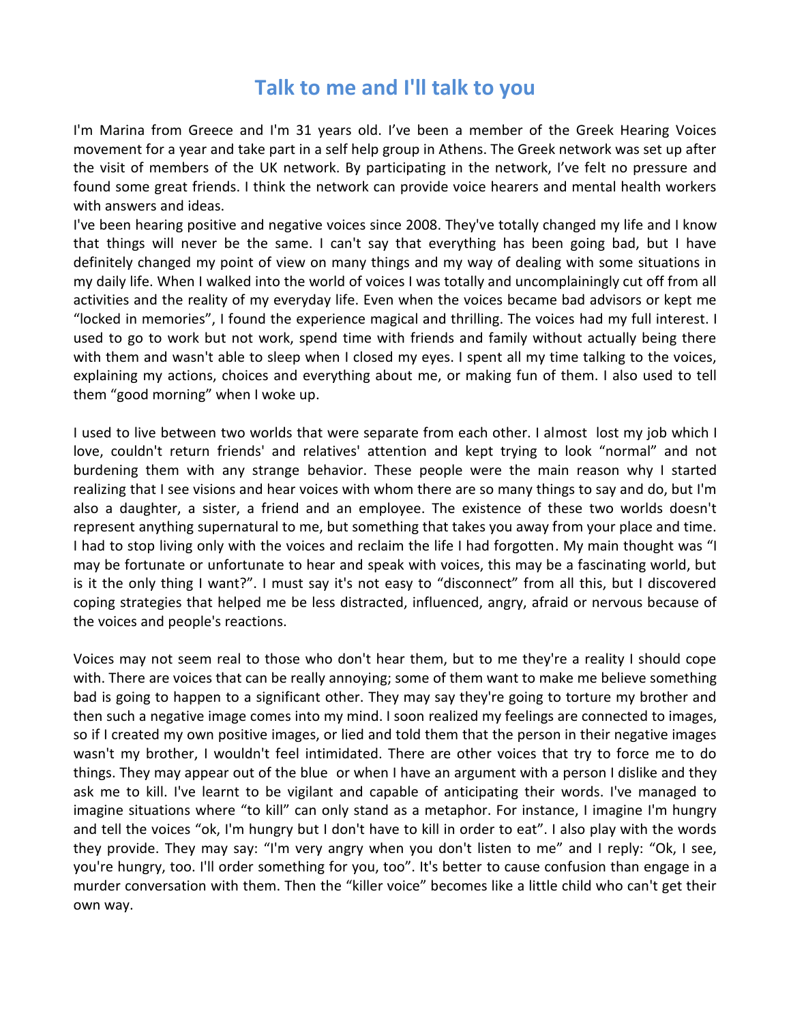## **Talk to me and I'll talk to you**

I'm Marina from Greece and I'm 31 years old. I've been a member of the Greek Hearing Voices movement for a year and take part in a self help group in Athens. The Greek network was set up after the visit of members of the UK network. By participating in the network, I've felt no pressure and found some great friends. I think the network can provide voice hearers and mental health workers with answers and ideas.

I've been hearing positive and negative voices since 2008. They've totally changed my life and I know that things will never be the same. I can't say that everything has been going bad, but I have definitely changed my point of view on many things and my way of dealing with some situations in my daily life. When I walked into the world of voices I was totally and uncomplainingly cut off from all activities and the reality of my everyday life. Even when the voices became bad advisors or kept me "locked in memories", I found the experience magical and thrilling. The voices had my full interest. I used to go to work but not work, spend time with friends and family without actually being there with them and wasn't able to sleep when I closed my eyes. I spent all my time talking to the voices, explaining my actions, choices and everything about me, or making fun of them. I also used to tell them "good morning" when I woke up.

I used to live between two worlds that were separate from each other. I almost lost my job which I love, couldn't return friends' and relatives' attention and kept trying to look "normal" and not burdening them with any strange behavior. These people were the main reason why I started realizing that I see visions and hear voices with whom there are so many things to say and do, but I'm also a daughter, a sister, a friend and an employee. The existence of these two worlds doesn't represent anything supernatural to me, but something that takes you away from your place and time. I had to stop living only with the voices and reclaim the life I had forgotten. My main thought was "I may be fortunate or unfortunate to hear and speak with voices, this may be a fascinating world, but is it the only thing I want?". I must say it's not easy to "disconnect" from all this, but I discovered coping strategies that helped me be less distracted, influenced, angry, afraid or nervous because of the voices and people's reactions.

Voices may not seem real to those who don't hear them, but to me they're a reality I should cope with. There are voices that can be really annoying; some of them want to make me believe something bad is going to happen to a significant other. They may say they're going to torture my brother and then such a negative image comes into my mind. I soon realized my feelings are connected to images, so if I created my own positive images, or lied and told them that the person in their negative images wasn't my brother, I wouldn't feel intimidated. There are other voices that try to force me to do things. They may appear out of the blue or when I have an argument with a person I dislike and they ask me to kill. I've learnt to be vigilant and capable of anticipating their words. I've managed to imagine situations where "to kill" can only stand as a metaphor. For instance, I imagine I'm hungry and tell the voices "ok, I'm hungry but I don't have to kill in order to eat". I also play with the words they provide. They may say: "I'm very angry when you don't listen to me" and I reply: "Ok, I see, you're hungry, too. I'll order something for you, too". It's better to cause confusion than engage in a murder conversation with them. Then the "killer voice" becomes like a little child who can't get their own way.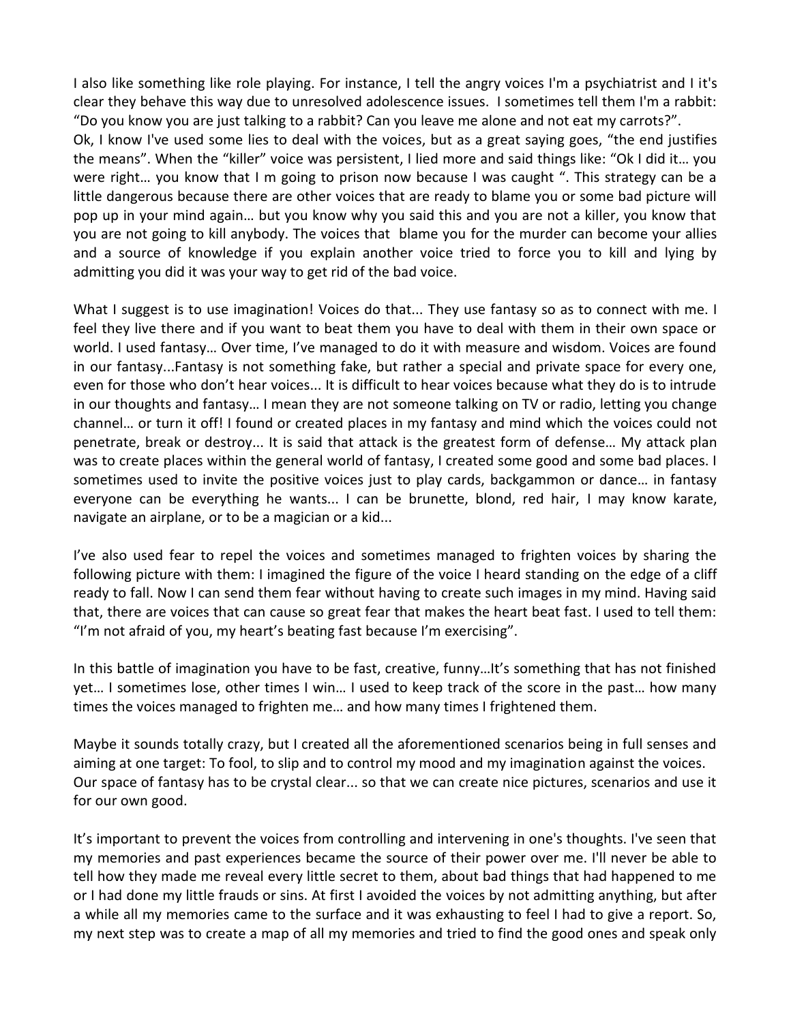I also like something like role playing. For instance, I tell the angry voices I'm a psychiatrist and I it's clear they behave this way due to unresolved adolescence issues. I sometimes tell them I'm a rabbit: "Do you know you are just talking to a rabbit? Can you leave me alone and not eat my carrots?". Ok, I know I've used some lies to deal with the voices, but as a great saying goes, "the end justifies the means". When the "killer" voice was persistent, I lied more and said things like: "Ok I did it… you were right… you know that I m going to prison now because I was caught ". This strategy can be a little dangerous because there are other voices that are ready to blame you or some bad picture will pop up in your mind again… but you know why you said this and you are not a killer, you know that you are not going to kill anybody. The voices that blame you for the murder can become your allies and a source of knowledge if you explain another voice tried to force you to kill and lying by admitting you did it was your way to get rid of the bad voice.

What I suggest is to use imagination! Voices do that... They use fantasy so as to connect with me. I feel they live there and if you want to beat them you have to deal with them in their own space or world. I used fantasy… Over time, I've managed to do it with measure and wisdom. Voices are found in our fantasy...Fantasy is not something fake, but rather a special and private space for every one, even for those who don't hear voices... It is difficult to hear voices because what they do is to intrude in our thoughts and fantasy… I mean they are not someone talking on TV or radio, letting you change channel… or turn it off! I found or created places in my fantasy and mind which the voices could not penetrate, break or destroy... It is said that attack is the greatest form of defense… My attack plan was to create places within the general world of fantasy, I created some good and some bad places. I sometimes used to invite the positive voices just to play cards, backgammon or dance… in fantasy everyone can be everything he wants... I can be brunette, blond, red hair, I may know karate, navigate an airplane, or to be a magician or a kid...

I've also used fear to repel the voices and sometimes managed to frighten voices by sharing the following picture with them: I imagined the figure of the voice I heard standing on the edge of a cliff ready to fall. Now I can send them fear without having to create such images in my mind. Having said that, there are voices that can cause so great fear that makes the heart beat fast. I used to tell them: "I'm not afraid of you, my heart's beating fast because I'm exercising".

In this battle of imagination you have to be fast, creative, funny…It's something that has not finished yet… I sometimes lose, other times I win… I used to keep track of the score in the past… how many times the voices managed to frighten me… and how many times I frightened them.

Maybe it sounds totally crazy, but I created all the aforementioned scenarios being in full senses and aiming at one target: To fool, to slip and to control my mood and my imagination against the voices. Our space of fantasy has to be crystal clear... so that we can create nice pictures, scenarios and use it for our own good.

It's important to prevent the voices from controlling and intervening in one's thoughts. I've seen that my memories and past experiences became the source of their power over me. I'll never be able to tell how they made me reveal every little secret to them, about bad things that had happened to me or I had done my little frauds or sins. At first I avoided the voices by not admitting anything, but after a while all my memories came to the surface and it was exhausting to feel I had to give a report. So, my next step was to create a map of all my memories and tried to find the good ones and speak only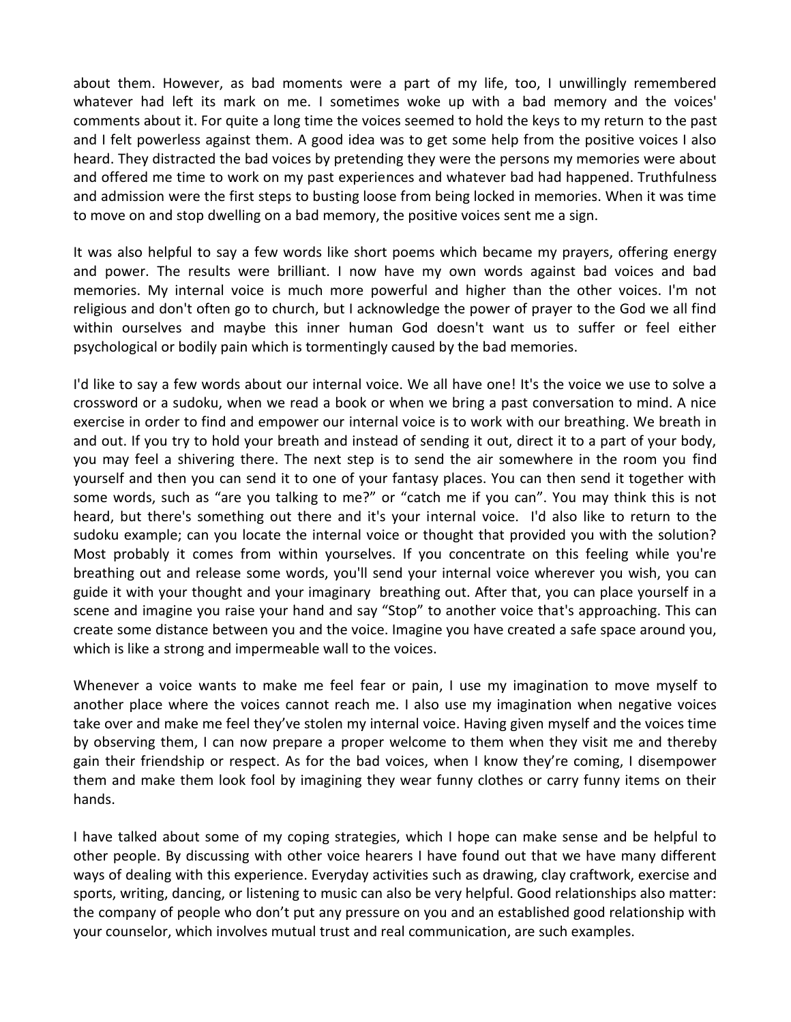about them. However, as bad moments were a part of my life, too, I unwillingly remembered whatever had left its mark on me. I sometimes woke up with a bad memory and the voices' comments about it. For quite a long time the voices seemed to hold the keys to my return to the past and I felt powerless against them. A good idea was to get some help from the positive voices I also heard. They distracted the bad voices by pretending they were the persons my memories were about and offered me time to work on my past experiences and whatever bad had happened. Truthfulness and admission were the first steps to busting loose from being locked in memories. When it was time to move on and stop dwelling on a bad memory, the positive voices sent me a sign.

It was also helpful to say a few words like short poems which became my prayers, offering energy and power. The results were brilliant. I now have my own words against bad voices and bad memories. My internal voice is much more powerful and higher than the other voices. I'm not religious and don't often go to church, but I acknowledge the power of prayer to the God we all find within ourselves and maybe this inner human God doesn't want us to suffer or feel either psychological or bodily pain which is tormentingly caused by the bad memories.

I'd like to say a few words about our internal voice. We all have one! It's the voice we use to solve a crossword or a sudoku, when we read a book or when we bring a past conversation to mind. A nice exercise in order to find and empower our internal voice is to work with our breathing. We breath in and out. If you try to hold your breath and instead of sending it out, direct it to a part of your body, you may feel a shivering there. The next step is to send the air somewhere in the room you find yourself and then you can send it to one of your fantasy places. You can then send it together with some words, such as "are you talking to me?" or "catch me if you can". You may think this is not heard, but there's something out there and it's your internal voice. I'd also like to return to the sudoku example; can you locate the internal voice or thought that provided you with the solution? Most probably it comes from within yourselves. If you concentrate on this feeling while you're breathing out and release some words, you'll send your internal voice wherever you wish, you can guide it with your thought and your imaginary breathing out. After that, you can place yourself in a scene and imagine you raise your hand and say "Stop" to another voice that's approaching. This can create some distance between you and the voice. Imagine you have created a safe space around you, which is like a strong and impermeable wall to the voices.

Whenever a voice wants to make me feel fear or pain, I use my imagination to move myself to another place where the voices cannot reach me. I also use my imagination when negative voices take over and make me feel they've stolen my internal voice. Having given myself and the voices time by observing them, I can now prepare a proper welcome to them when they visit me and thereby gain their friendship or respect. As for the bad voices, when I know they're coming, I disempower them and make them look fool by imagining they wear funny clothes or carry funny items on their hands.

I have talked about some of my coping strategies, which I hope can make sense and be helpful to other people. By discussing with other voice hearers I have found out that we have many different ways of dealing with this experience. Everyday activities such as drawing, clay craftwork, exercise and sports, writing, dancing, or listening to music can also be very helpful. Good relationships also matter: the company of people who don't put any pressure on you and an established good relationship with your counselor, which involves mutual trust and real communication, are such examples.